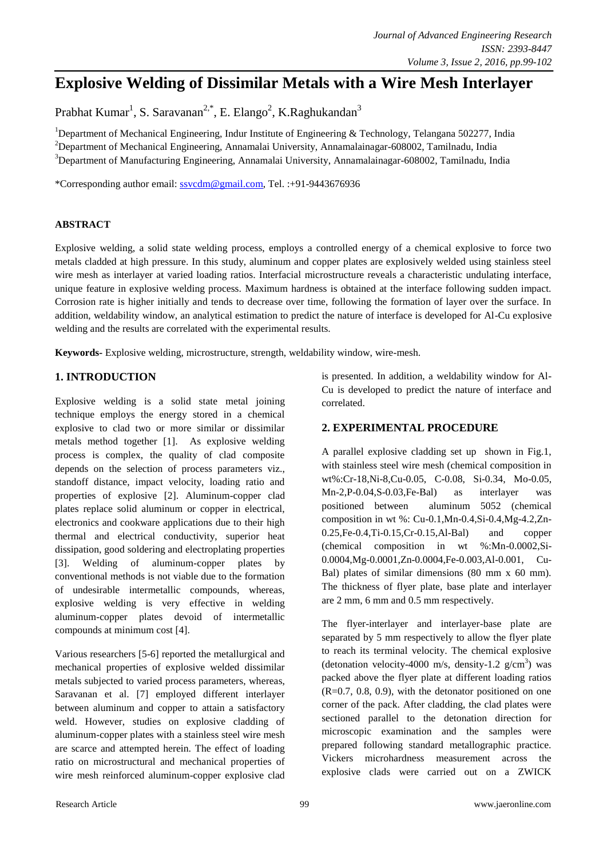# **Explosive Welding of Dissimilar Metals with a Wire Mesh Interlayer**

Prabhat Kumar<sup>1</sup>, S. Saravanan<sup>2,\*</sup>, E. Elango<sup>2</sup>, K.Raghukandan<sup>3</sup>

<sup>1</sup>Department of Mechanical Engineering, Indur Institute of Engineering & Technology, Telangana 502277, India <sup>2</sup>Department of Mechanical Engineering, Annamalai University, Annamalainagar-608002, Tamilnadu, India <sup>3</sup>Department of Manufacturing Engineering, Annamalai University, Annamalainagar-608002, Tamilnadu, India

\*Corresponding author email: [ssvcdm@gmail.com,](mailto:abcdef@yahoo.com) Tel. :+91-9443676936

## **ABSTRACT**

Explosive welding, a solid state welding process, employs a controlled energy of a chemical explosive to force two metals cladded at high pressure. In this study, aluminum and copper plates are explosively welded using stainless steel wire mesh as interlayer at varied loading ratios. Interfacial microstructure reveals a characteristic undulating interface, unique feature in explosive welding process. Maximum hardness is obtained at the interface following sudden impact. Corrosion rate is higher initially and tends to decrease over time, following the formation of layer over the surface. In addition, weldability window, an analytical estimation to predict the nature of interface is developed for Al-Cu explosive welding and the results are correlated with the experimental results.

**Keywords-** Explosive welding, microstructure, strength, weldability window, wire-mesh.

## **1. INTRODUCTION**

Explosive welding is a solid state metal joining technique employs the energy stored in a chemical explosive to clad two or more similar or dissimilar metals method together [1]. As explosive welding process is complex, the quality of clad composite depends on the selection of process parameters viz., standoff distance, impact velocity, loading ratio and properties of explosive [2]. Aluminum-copper clad plates replace solid aluminum or copper in electrical, electronics and cookware applications due to their high thermal and electrical conductivity, superior heat dissipation, good soldering and electroplating properties [3]. Welding of aluminum-copper plates by conventional methods is not viable due to the formation of undesirable intermetallic compounds, whereas, explosive welding is very effective in welding aluminum-copper plates devoid of intermetallic compounds at minimum cost [4].

Various researchers [5-6] reported the metallurgical and mechanical properties of explosive welded dissimilar metals subjected to varied process parameters, whereas, Saravanan et al. [7] employed different interlayer between aluminum and copper to attain a satisfactory weld. However, studies on explosive cladding of aluminum-copper plates with a stainless steel wire mesh are scarce and attempted herein. The effect of loading ratio on microstructural and mechanical properties of wire mesh reinforced aluminum-copper explosive clad

is presented. In addition, a weldability window for Al-Cu is developed to predict the nature of interface and correlated.

# **2. EXPERIMENTAL PROCEDURE**

A parallel explosive cladding set up shown in Fig.1, with stainless steel wire mesh (chemical composition in wt%:Cr-18,Ni-8,Cu-0.05, C-0.08, Si-0.34, Mo-0.05, Mn-2,P-0.04,S-0.03,Fe-Bal) as interlayer was positioned between aluminum 5052 (chemical composition in wt %: Cu-0.1,Mn-0.4,Si-0.4,Mg-4.2,Zn-0.25,Fe-0.4,Ti-0.15,Cr-0.15,Al-Bal) and copper (chemical composition in wt %:Mn-0.0002,Si-0.0004,Mg-0.0001,Zn-0.0004,Fe-0.003,Al-0.001, Cu-Bal) plates of similar dimensions (80 mm x 60 mm). The thickness of flyer plate, base plate and interlayer are 2 mm, 6 mm and 0.5 mm respectively.

The flyer-interlayer and interlayer-base plate are separated by 5 mm respectively to allow the flyer plate to reach its terminal velocity. The chemical explosive (detonation velocity-4000 m/s, density-1.2  $g/cm<sup>3</sup>$ ) was packed above the flyer plate at different loading ratios (R=0.7, 0.8, 0.9), with the detonator positioned on one corner of the pack. After cladding, the clad plates were sectioned parallel to the detonation direction for microscopic examination and the samples were prepared following standard metallographic practice. Vickers microhardness measurement across the explosive clads were carried out on a ZWICK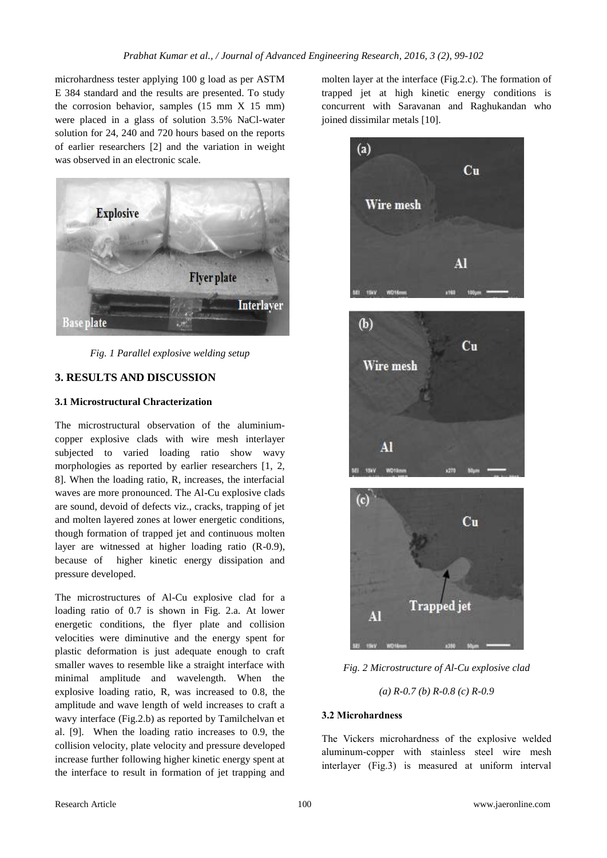microhardness tester applying 100 g load as per ASTM E 384 standard and the results are presented. To study the corrosion behavior, samples (15 mm X 15 mm) were placed in a glass of solution 3.5% NaCl-water solution for 24, 240 and 720 hours based on the reports of earlier researchers [2] and the variation in weight was observed in an electronic scale.



*Fig. 1 Parallel explosive welding setup*

# **3. RESULTS AND DISCUSSION**

#### **3.1 Microstructural Chracterization**

The microstructural observation of the aluminiumcopper explosive clads with wire mesh interlayer subjected to varied loading ratio show wavy morphologies as reported by earlier researchers [1, 2, 8]. When the loading ratio, R, increases, the interfacial waves are more pronounced. The Al-Cu explosive clads are sound, devoid of defects viz., cracks, trapping of jet and molten layered zones at lower energetic conditions, though formation of trapped jet and continuous molten layer are witnessed at higher loading ratio (R-0.9), because of higher kinetic energy dissipation and pressure developed.

The microstructures of Al-Cu explosive clad for a loading ratio of 0.7 is shown in Fig. 2.a. At lower energetic conditions, the flyer plate and collision velocities were diminutive and the energy spent for plastic deformation is just adequate enough to craft smaller waves to resemble like a straight interface with minimal amplitude and wavelength. When the explosive loading ratio, R, was increased to 0.8, the amplitude and wave length of weld increases to craft a wavy interface (Fig.2.b) as reported by Tamilchelvan et al. [9]. When the loading ratio increases to 0.9, the collision velocity, plate velocity and pressure developed increase further following higher kinetic energy spent at the interface to result in formation of jet trapping and

molten layer at the interface (Fig.2.c). The formation of trapped jet at high kinetic energy conditions is concurrent with Saravanan and Raghukandan who joined dissimilar metals [10].







*Fig. 2 Microstructure of Al-Cu explosive clad*

*(a) R-0.7 (b) R-0.8 (c) R-0.9*

## **3.2 Microhardness**

The Vickers microhardness of the explosive welded aluminum-copper with stainless steel wire mesh interlayer (Fig.3) is measured at uniform interval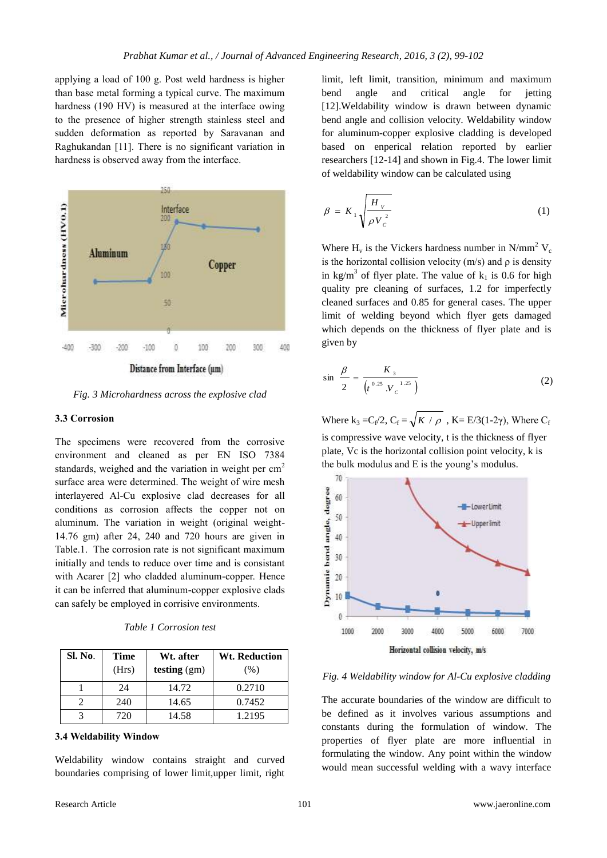applying a load of 100 g. Post weld hardness is higher than base metal forming a typical curve. The maximum hardness (190 HV) is measured at the interface owing to the presence of higher strength stainless steel and sudden deformation as reported by Saravanan and Raghukandan [11]. There is no significant variation in hardness is observed away from the interface.



*Fig. 3 Microhardness across the explosive clad*

#### **3.3 Corrosion**

The specimens were recovered from the corrosive environment and cleaned as per EN ISO 7384 standards, weighed and the variation in weight per  $cm<sup>2</sup>$ surface area were determined. The weight of wire mesh interlayered Al-Cu explosive clad decreases for all conditions as corrosion affects the copper not on aluminum. The variation in weight (original weight-14.76 gm) after 24, 240 and 720 hours are given in Table.1. The corrosion rate is not significant maximum initially and tends to reduce over time and is consistant with Acarer [2] who cladded aluminum-copper. Hence it can be inferred that aluminum-copper explosive clads can safely be employed in corrisive environments.

|  | Table 1 Corrosion test |  |
|--|------------------------|--|
|--|------------------------|--|

| Sl. No. | Time<br>(Hrs) | Wt. after<br>testing $(gm)$ | <b>Wt. Reduction</b><br>(% ) |
|---------|---------------|-----------------------------|------------------------------|
|         | 24            | 14.72                       | 0.2710                       |
|         | 240           | 14.65                       | 0.7452                       |
|         | 720           | 14.58                       | 1.2195                       |

#### **3.4 Weldability Window**

Weldability window contains straight and curved boundaries comprising of lower limit, upper limit, right

limit, left limit, transition, minimum and maximum bend angle and critical angle for jetting [12].Weldability window is drawn between dynamic bend angle and collision velocity. Weldability window for aluminum-copper explosive cladding is developed based on enperical relation reported by earlier researchers [12-14] and shown in Fig.4. The lower limit of weldability window can be calculated using

$$
\beta = K_{1} \sqrt{\frac{H_{v}}{\rho V_{c}^{2}}}
$$
 (1)

Where  $H_v$  is the Vickers hardness number in N/mm<sup>2</sup> V<sub>c</sub> is the horizontal collision velocity  $(m/s)$  and  $\rho$  is density in kg/m<sup>3</sup> of flyer plate. The value of  $k_1$  is 0.6 for high quality pre cleaning of surfaces, 1.2 for imperfectly cleaned surfaces and 0.85 for general cases. The upper limit of welding beyond which flyer gets damaged which depends on the thickness of flyer plate and is given by

$$
\sin \frac{\beta}{2} = \frac{K_3}{\left(t^{0.25} \, V_c^{-1.25}\right)}\tag{2}
$$

Where  $k_3 = C_f/2$ ,  $C_f = \sqrt{K / \rho}$ ,  $K = E/3(1-2\gamma)$ , Where  $C_f$ is compressive wave velocity, t is the thickness of flyer plate, Vc is the horizontal collision point velocity, k is the bulk modulus and E is the young's modulus.



#### *Fig. 4 Weldability window for Al-Cu explosive cladding*

The accurate boundaries of the window are difficult to be defined as it involves various assumptions and constants during the formulation of window. The properties of flyer plate are more influential in formulating the window. Any point within the window would mean successful welding with a wavy interface